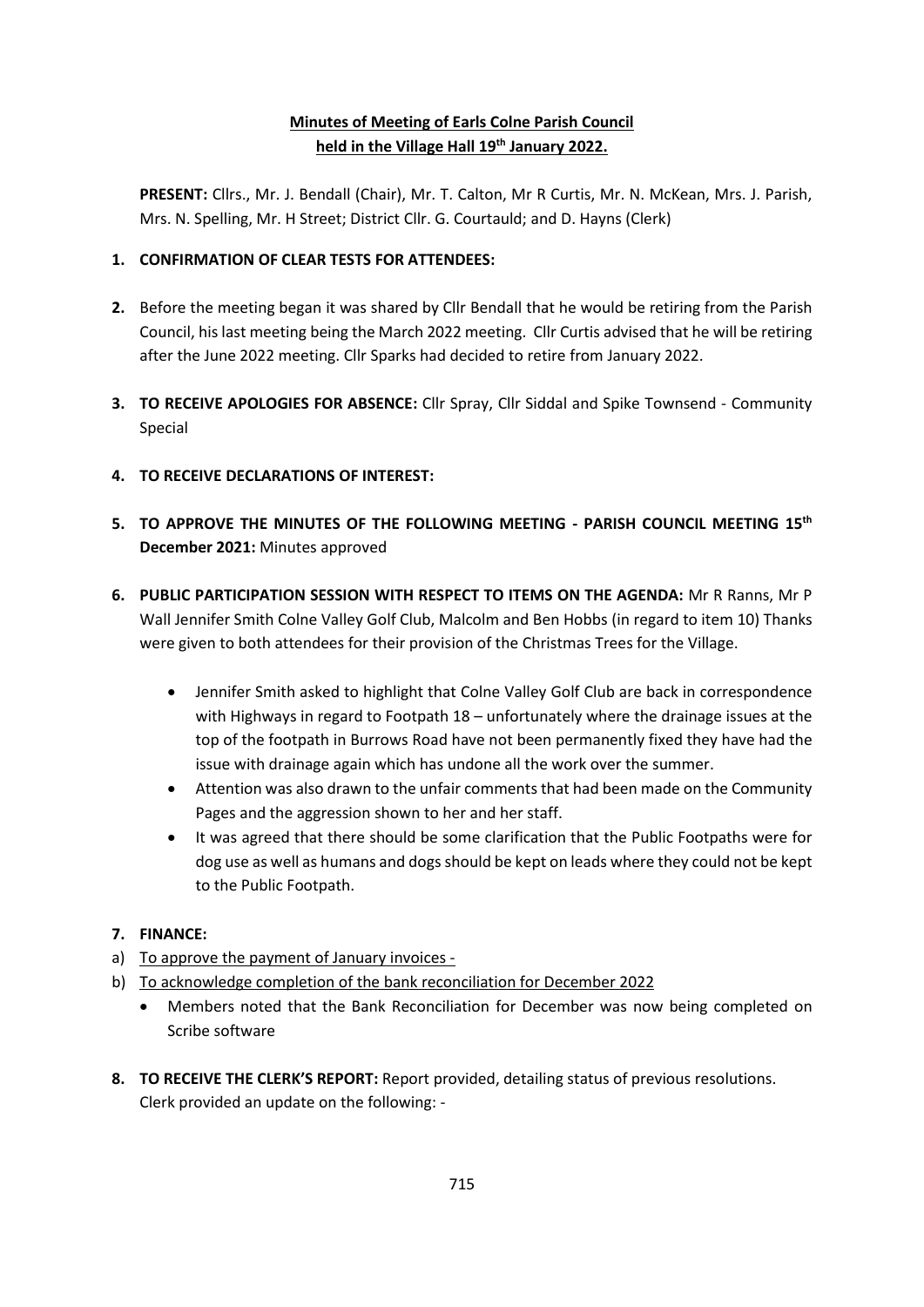# **Minutes of Meeting of Earls Colne Parish Council held in the Village Hall 19th January 2022.**

**PRESENT:** Cllrs., Mr. J. Bendall (Chair), Mr. T. Calton, Mr R Curtis, Mr. N. McKean, Mrs. J. Parish, Mrs. N. Spelling, Mr. H Street; District Cllr. G. Courtauld; and D. Hayns (Clerk)

## **1. CONFIRMATION OF CLEAR TESTS FOR ATTENDEES:**

- **2.** Before the meeting began it was shared by Cllr Bendall that he would be retiring from the Parish Council, his last meeting being the March 2022 meeting. Cllr Curtis advised that he will be retiring after the June 2022 meeting. Cllr Sparks had decided to retire from January 2022.
- **3. TO RECEIVE APOLOGIES FOR ABSENCE:** Cllr Spray, Cllr Siddal and Spike Townsend Community Special
- **4. TO RECEIVE DECLARATIONS OF INTEREST:**
- **5. TO APPROVE THE MINUTES OF THE FOLLOWING MEETING - PARISH COUNCIL MEETING 15th December 2021:** Minutes approved
- **6. PUBLIC PARTICIPATION SESSION WITH RESPECT TO ITEMS ON THE AGENDA:** Mr R Ranns, Mr P Wall Jennifer Smith Colne Valley Golf Club, Malcolm and Ben Hobbs (in regard to item 10) Thanks were given to both attendees for their provision of the Christmas Trees for the Village.
	- Jennifer Smith asked to highlight that Colne Valley Golf Club are back in correspondence with Highways in regard to Footpath 18 – unfortunately where the drainage issues at the top of the footpath in Burrows Road have not been permanently fixed they have had the issue with drainage again which has undone all the work over the summer.
	- Attention was also drawn to the unfair comments that had been made on the Community Pages and the aggression shown to her and her staff.
	- It was agreed that there should be some clarification that the Public Footpaths were for dog use as well as humans and dogs should be kept on leads where they could not be kept to the Public Footpath.

#### **7. FINANCE:**

- a) To approve the payment of January invoices -
- b) To acknowledge completion of the bank reconciliation for December 2022
	- Members noted that the Bank Reconciliation for December was now being completed on Scribe software
- **8. TO RECEIVE THE CLERK'S REPORT:** Report provided, detailing status of previous resolutions. Clerk provided an update on the following: -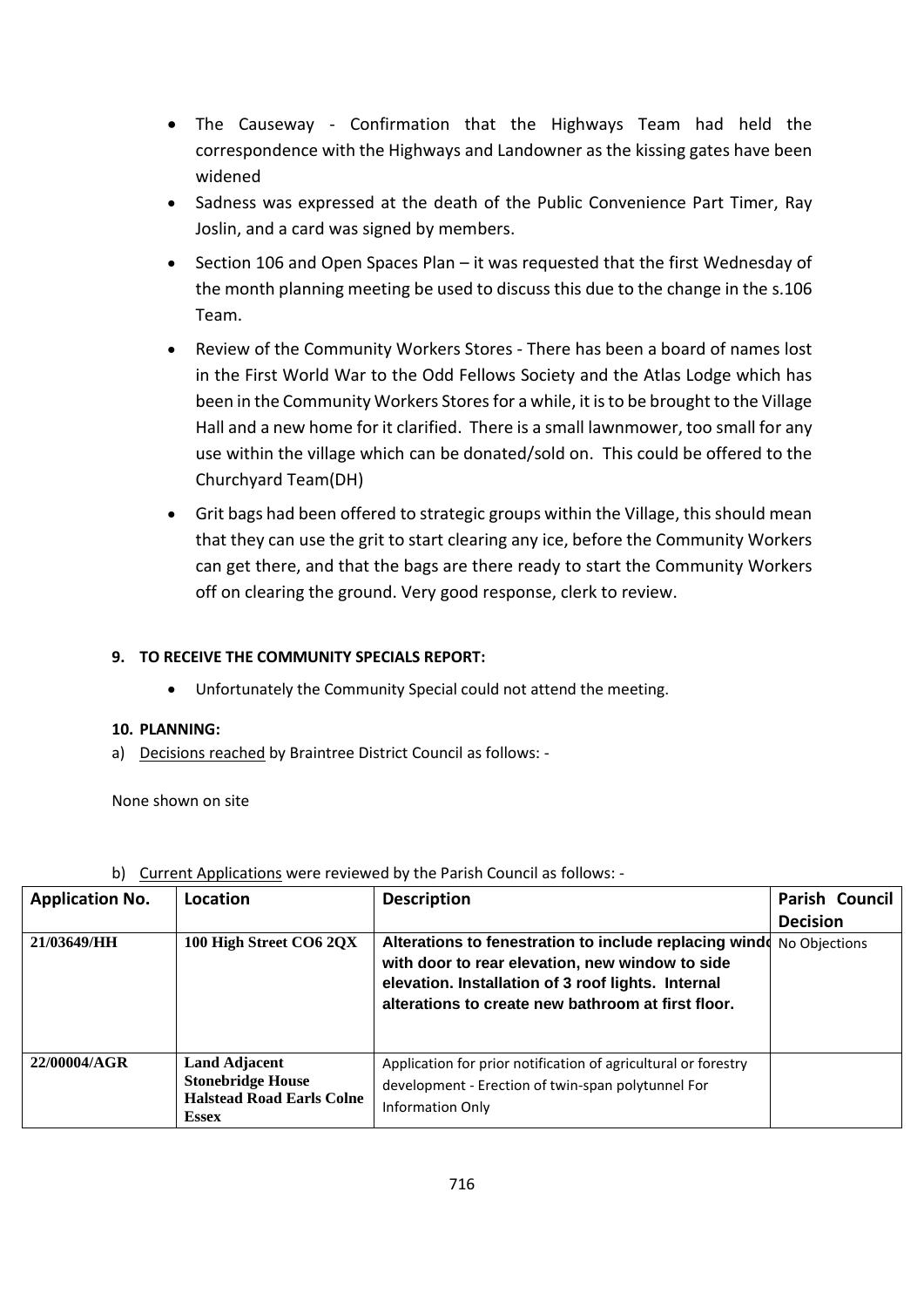- The Causeway Confirmation that the Highways Team had held the correspondence with the Highways and Landowner as the kissing gates have been widened
- Sadness was expressed at the death of the Public Convenience Part Timer, Ray Joslin, and a card was signed by members.
- Section 106 and Open Spaces Plan it was requested that the first Wednesday of the month planning meeting be used to discuss this due to the change in the s.106 Team.
- Review of the Community Workers Stores There has been a board of names lost in the First World War to the Odd Fellows Society and the Atlas Lodge which has been in the Community Workers Stores for a while, it is to be brought to the Village Hall and a new home for it clarified. There is a small lawnmower, too small for any use within the village which can be donated/sold on. This could be offered to the Churchyard Team(DH)
- Grit bags had been offered to strategic groups within the Village, this should mean that they can use the grit to start clearing any ice, before the Community Workers can get there, and that the bags are there ready to start the Community Workers off on clearing the ground. Very good response, clerk to review.

#### **9. TO RECEIVE THE COMMUNITY SPECIALS REPORT:**

Unfortunately the Community Special could not attend the meeting.

#### **10. PLANNING:**

a) Decisions reached by Braintree District Council as follows: -

None shown on site

| <b>Application No.</b> | Location                                                                                             | <b>Description</b>                                                                                                                                                                                                   | Parish Council  |
|------------------------|------------------------------------------------------------------------------------------------------|----------------------------------------------------------------------------------------------------------------------------------------------------------------------------------------------------------------------|-----------------|
|                        |                                                                                                      |                                                                                                                                                                                                                      | <b>Decision</b> |
| 21/03649/HH            | 100 High Street CO6 2QX                                                                              | Alterations to fenestration to include replacing wind<br>with door to rear elevation, new window to side<br>elevation. Installation of 3 roof lights. Internal<br>alterations to create new bathroom at first floor. | No Objections   |
| 22/00004/AGR           | <b>Land Adjacent</b><br><b>Stonebridge House</b><br><b>Halstead Road Earls Colne</b><br><b>Essex</b> | Application for prior notification of agricultural or forestry<br>development - Erection of twin-span polytunnel For<br>Information Only                                                                             |                 |

|  |  |  | b) Current Applications were reviewed by the Parish Council as follows: - |
|--|--|--|---------------------------------------------------------------------------|
|--|--|--|---------------------------------------------------------------------------|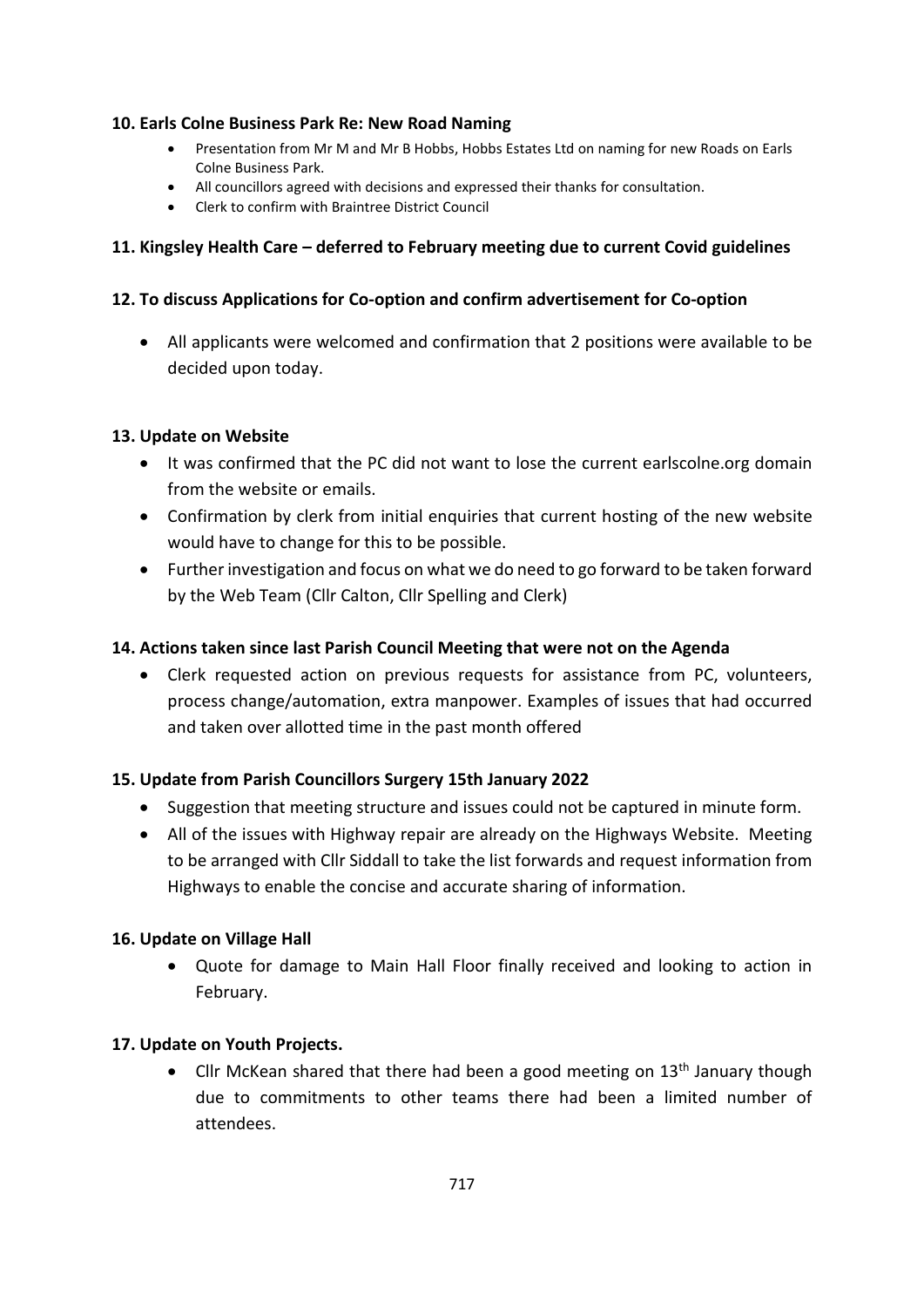## **10. Earls Colne Business Park Re: New Road Naming**

- Presentation from Mr M and Mr B Hobbs, Hobbs Estates Ltd on naming for new Roads on Earls Colne Business Park.
- All councillors agreed with decisions and expressed their thanks for consultation.
- Clerk to confirm with Braintree District Council

## **11. Kingsley Health Care – deferred to February meeting due to current Covid guidelines**

## **12. To discuss Applications for Co-option and confirm advertisement for Co-option**

• All applicants were welcomed and confirmation that 2 positions were available to be decided upon today.

## **13. Update on Website**

- It was confirmed that the PC did not want to lose the current earlscolne.org domain from the website or emails.
- Confirmation by clerk from initial enquiries that current hosting of the new website would have to change for this to be possible.
- Further investigation and focus on what we do need to go forward to be taken forward by the Web Team (Cllr Calton, Cllr Spelling and Clerk)

# **14. Actions taken since last Parish Council Meeting that were not on the Agenda**

• Clerk requested action on previous requests for assistance from PC, volunteers, process change/automation, extra manpower. Examples of issues that had occurred and taken over allotted time in the past month offered

#### **15. Update from Parish Councillors Surgery 15th January 2022**

- Suggestion that meeting structure and issues could not be captured in minute form.
- All of the issues with Highway repair are already on the Highways Website. Meeting to be arranged with Cllr Siddall to take the list forwards and request information from Highways to enable the concise and accurate sharing of information.

#### **16. Update on Village Hall**

• Quote for damage to Main Hall Floor finally received and looking to action in February.

#### **17. Update on Youth Projects.**

• Cllr McKean shared that there had been a good meeting on  $13<sup>th</sup>$  January though due to commitments to other teams there had been a limited number of attendees.